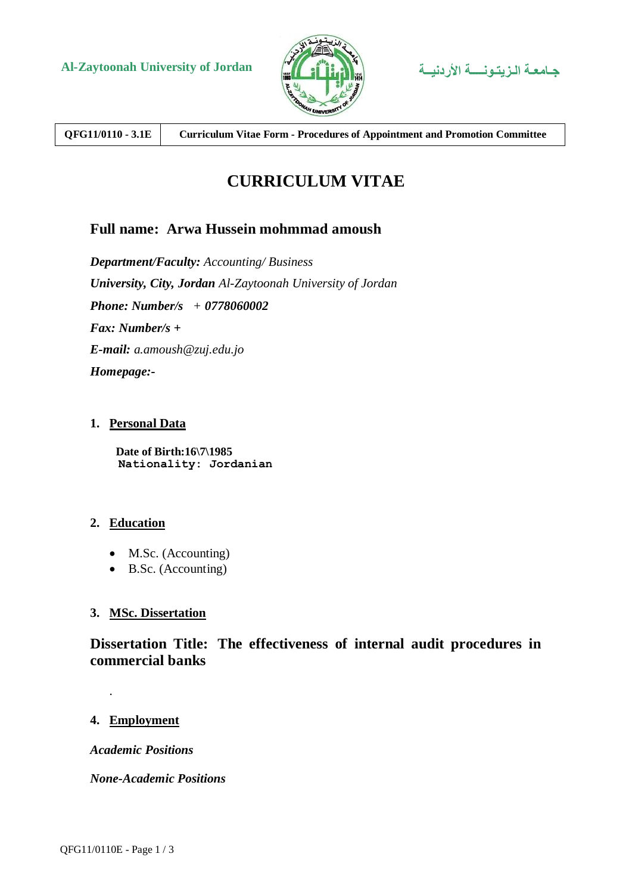

**QFG11/0110 - 3.1E Curriculum Vitae Form - Procedures of Appointment and Promotion Committee**

# **CURRICULUM VITAE**

## **Full name: Arwa Hussein mohmmad amoush**

*Department/Faculty: Accounting/ Business University, City, Jordan Al-Zaytoonah University of Jordan Phone: Number/s + 0778060002 Fax: Number/s + E-mail: a.amoush@zuj.edu.jo Homepage:-*

## **1. Personal Data**

 **Date of Birth:16\7\1985 Nationality: Jordanian**

### **2. Education**

- M.Sc. (Accounting)
- B.Sc. (Accounting)

## **3. MSc. Dissertation**

**Dissertation Title: The effectiveness of internal audit procedures in commercial banks**

## **4. Employment**

.

*Academic Positions*

*None-Academic Positions*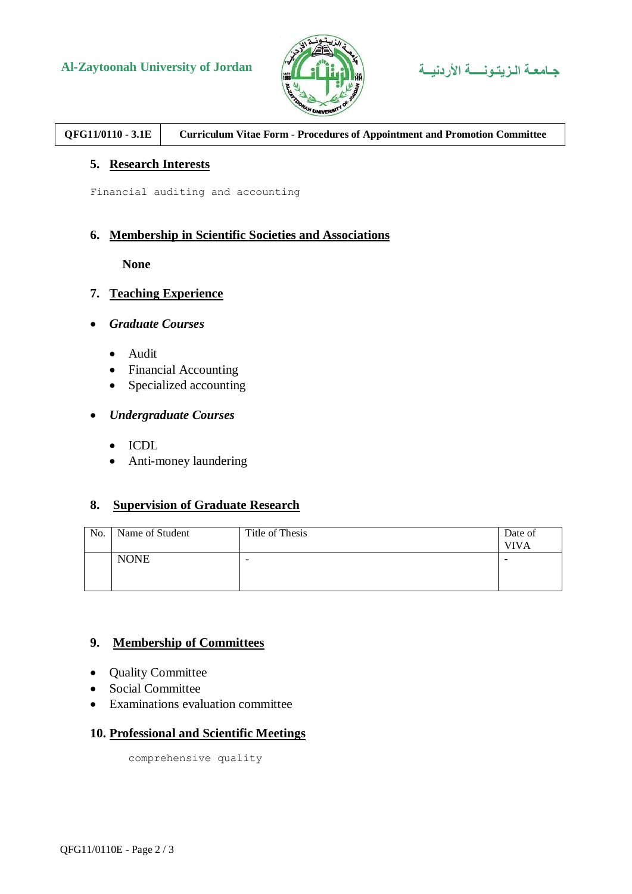## **Al-Zaytoonah University of Jordan األردنيــة الـزيتـونــــة جـامعـة**





## **QFG11/0110 - 3.1E Curriculum Vitae Form - Procedures of Appointment and Promotion Committee**

#### **5. Research Interests**

Financial auditing and accounting

## **6. Membership in Scientific Societies and Associations**

 **None**

#### **7. Teaching Experience**

- *Graduate Courses*
	- Audit
	- Financial Accounting
	- Specialized accounting

#### *Undergraduate Courses*

- ICDL
- Anti-money laundering

#### **8. Supervision of Graduate Research**

| No. | Name of Student | Title of Thesis          | Date of<br><b>VIVA</b> |
|-----|-----------------|--------------------------|------------------------|
|     | <b>NONE</b>     | $\overline{\phantom{0}}$ |                        |
|     |                 |                          |                        |

#### **9. Membership of Committees**

- Quality Committee
- Social Committee
- Examinations evaluation committee

#### **10. Professional and Scientific Meetings**

comprehensive quality